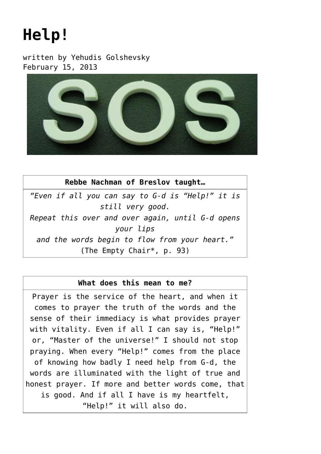## **[Help!](https://breslov.org/help/)**

written by Yehudis Golshevsky February 15, 2013



**Rebbe Nachman of Breslov taught…** *"Even if all you can say to G-d is "Help!" it is still very good. Repeat this over and over again, until G-d opens your lips and the words begin to flow from your heart."* (The Empty Chair\*, p. 93)

## **What does this mean to me?**

Prayer is the service of the heart, and when it comes to prayer the truth of the words and the sense of their immediacy is what provides prayer with vitality. Even if all I can say is, "Help!" or, "Master of the universe!" I should not stop praying. When every "Help!" comes from the place of knowing how badly I need help from G-d, the words are illuminated with the light of true and honest prayer. If more and better words come, that is good. And if all I have is my heartfelt, "Help!" it will also do.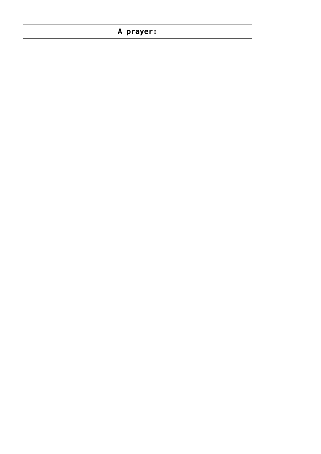## **A prayer:**